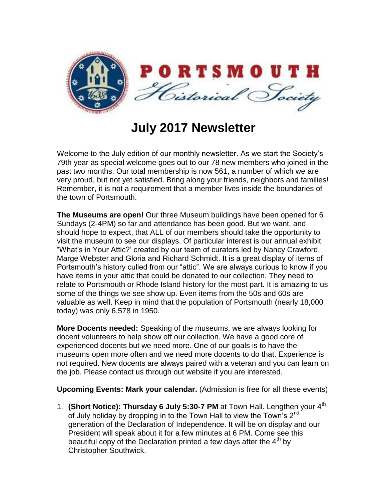

**July 2017 Newsletter**

Welcome to the July edition of our monthly newsletter. As we start the Society's 79th year as special welcome goes out to our 78 new members who joined in the past two months. Our total membership is now 561, a number of which we are very proud, but not yet satisfied. Bring along your friends, neighbors and families! Remember, it is not a requirement that a member lives inside the boundaries of the town of Portsmouth.

**The Museums are open!** Our three Museum buildings have been opened for 6 Sundays (2-4PM) so far and attendance has been good. But we want, and should hope to expect, that ALL of our members should take the opportunity to visit the museum to see our displays. Of particular interest is our annual exhibit "What's in Your Attic?' created by our team of curators led by Nancy Crawford, Marge Webster and Gloria and Richard Schmidt. It is a great display of items of Portsmouth's history culled from our "attic". We are always curious to know if you have items in your attic that could be donated to our collection. They need to relate to Portsmouth or Rhode Island history for the most part. It is amazing to us some of the things we see show up. Even items from the 50s and 60s are valuable as well. Keep in mind that the population of Portsmouth (nearly 18,000 today) was only 6,578 in 1950.

**More Docents needed:** Speaking of the museums, we are always looking for docent volunteers to help show off our collection. We have a good core of experienced docents but we need more. One of our goals is to have the museums open more often and we need more docents to do that. Experience is not required. New docents are always paired with a veteran and you can learn on the job. Please contact us through out website if you are interested.

**Upcoming Events: Mark your calendar.** (Admission is free for all these events)

1. **(Short Notice): Thursday 6 July 5:30-7 PM** at Town Hall. Lengthen your 4<sup>th</sup> of July holiday by dropping in to the Town Hall to view the Town's  $2<sup>nd</sup>$ generation of the Declaration of Independence. It will be on display and our President will speak about it for a few minutes at 6 PM. Come see this beautiful copy of the Declaration printed a few days after the  $4<sup>th</sup>$  by Christopher Southwick.